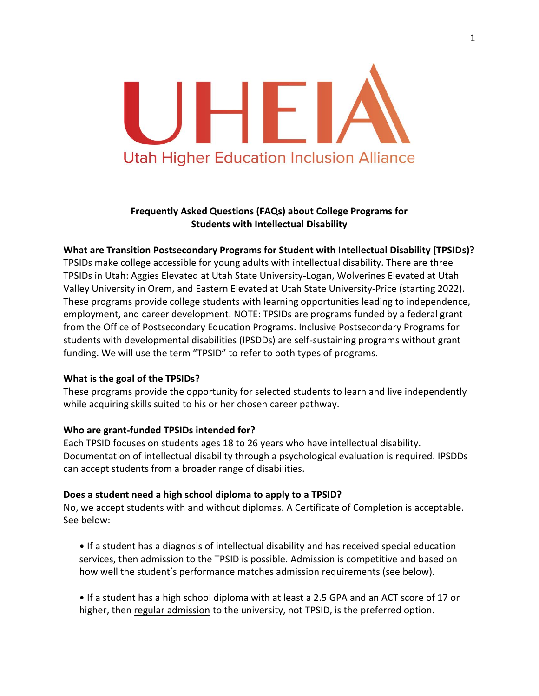

**Frequently Asked Questions (FAQs) about College Programs for Students with Intellectual Disability**

### **What are Transition Postsecondary Programs for Student with Intellectual Disability (TPSIDs)?**

TPSIDs make college accessible for young adults with intellectual disability. There are three TPSIDs in Utah: Aggies Elevated at Utah State University-Logan, Wolverines Elevated at Utah Valley University in Orem, and Eastern Elevated at Utah State University-Price (starting 2022). These programs provide college students with learning opportunities leading to independence, employment, and career development. NOTE: TPSIDs are programs funded by a federal grant from the Office of Postsecondary Education Programs. Inclusive Postsecondary Programs for students with developmental disabilities (IPSDDs) are self-sustaining programs without grant funding. We will use the term "TPSID" to refer to both types of programs.

### **What is the goal of the TPSIDs?**

These programs provide the opportunity for selected students to learn and live independently while acquiring skills suited to his or her chosen career pathway.

### **Who are grant-funded TPSIDs intended for?**

Each TPSID focuses on students ages 18 to 26 years who have intellectual disability. Documentation of intellectual disability through a psychological evaluation is required. IPSDDs can accept students from a broader range of disabilities.

## **Does a student need a high school diploma to apply to a TPSID?**

No, we accept students with and without diplomas. A Certificate of Completion is acceptable. See below:

• If a student has a diagnosis of intellectual disability and has received special education services, then admission to the TPSID is possible. Admission is competitive and based on how well the student's performance matches admission requirements (see below).

• If a student has a high school diploma with at least a 2.5 GPA and an ACT score of 17 or higher, then regular admission to the university, not TPSID, is the preferred option.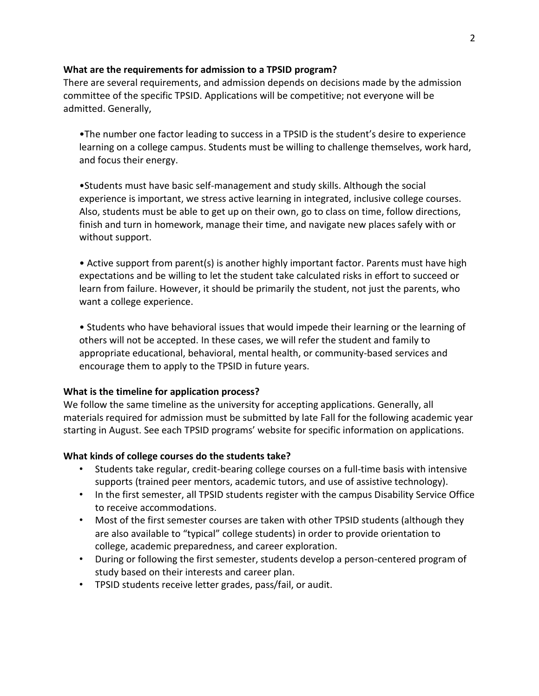### **What are the requirements for admission to a TPSID program?**

There are several requirements, and admission depends on decisions made by the admission committee of the specific TPSID. Applications will be competitive; not everyone will be admitted. Generally,

•The number one factor leading to success in a TPSID is the student's desire to experience learning on a college campus. Students must be willing to challenge themselves, work hard, and focus their energy.

•Students must have basic self-management and study skills. Although the social experience is important, we stress active learning in integrated, inclusive college courses. Also, students must be able to get up on their own, go to class on time, follow directions, finish and turn in homework, manage their time, and navigate new places safely with or without support.

• Active support from parent(s) is another highly important factor. Parents must have high expectations and be willing to let the student take calculated risks in effort to succeed or learn from failure. However, it should be primarily the student, not just the parents, who want a college experience.

• Students who have behavioral issues that would impede their learning or the learning of others will not be accepted. In these cases, we will refer the student and family to appropriate educational, behavioral, mental health, or community-based services and encourage them to apply to the TPSID in future years.

## **What is the timeline for application process?**

We follow the same timeline as the university for accepting applications. Generally, all materials required for admission must be submitted by late Fall for the following academic year starting in August. See each TPSID programs' website for specific information on applications.

## **What kinds of college courses do the students take?**

- Students take regular, credit-bearing college courses on a full-time basis with intensive supports (trained peer mentors, academic tutors, and use of assistive technology).
- In the first semester, all TPSID students register with the campus Disability Service Office to receive accommodations.
- Most of the first semester courses are taken with other TPSID students (although they are also available to "typical" college students) in order to provide orientation to college, academic preparedness, and career exploration.
- During or following the first semester, students develop a person-centered program of study based on their interests and career plan.
- TPSID students receive letter grades, pass/fail, or audit.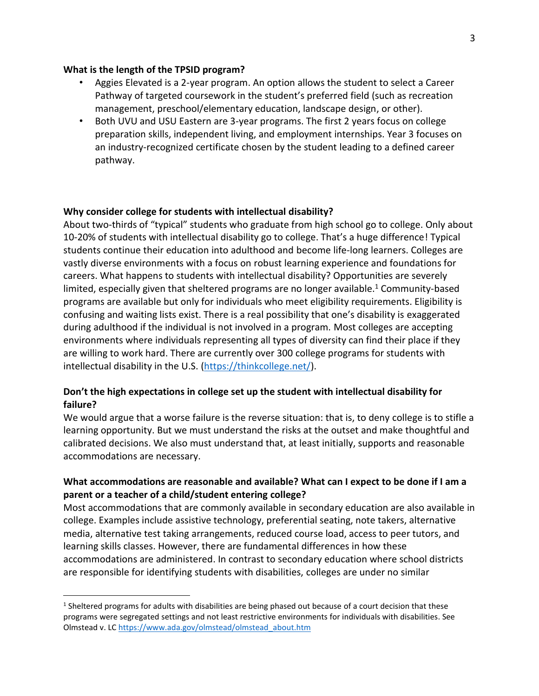### **What is the length of the TPSID program?**

- Aggies Elevated is a 2-year program. An option allows the student to select a Career Pathway of targeted coursework in the student's preferred field (such as recreation management, preschool/elementary education, landscape design, or other).
- Both UVU and USU Eastern are 3-year programs. The first 2 years focus on college preparation skills, independent living, and employment internships. Year 3 focuses on an industry-recognized certificate chosen by the student leading to a defined career pathway.

# **Why consider college for students with intellectual disability?**

About two-thirds of "typical" students who graduate from high school go to college. Only about 10-20% of students with intellectual disability go to college. That's a huge difference! Typical students continue their education into adulthood and become life-long learners. Colleges are vastly diverse environments with a focus on robust learning experience and foundations for careers. What happens to students with intellectual disability? Opportunities are severely limited, especially given that sheltered programs are no longer available.<sup>1</sup> Community-based programs are available but only for individuals who meet eligibility requirements. Eligibility is confusing and waiting lists exist. There is a real possibility that one's disability is exaggerated during adulthood if the individual is not involved in a program. Most colleges are accepting environments where individuals representing all types of diversity can find their place if they are willing to work hard. There are currently over 300 college programs for students with intellectual disability in the U.S. [\(https://thinkcollege.net/\)](https://thinkcollege.net/).

# **Don't the high expectations in college set up the student with intellectual disability for failure?**

We would argue that a worse failure is the reverse situation: that is, to deny college is to stifle a learning opportunity. But we must understand the risks at the outset and make thoughtful and calibrated decisions. We also must understand that, at least initially, supports and reasonable accommodations are necessary.

# **What accommodations are reasonable and available? What can I expect to be done if I am a parent or a teacher of a child/student entering college?**

Most accommodations that are commonly available in secondary education are also available in college. Examples include assistive technology, preferential seating, note takers, alternative media, alternative test taking arrangements, reduced course load, access to peer tutors, and learning skills classes. However, there are fundamental differences in how these accommodations are administered. In contrast to secondary education where school districts are responsible for identifying students with disabilities, colleges are under no similar

<sup>&</sup>lt;sup>1</sup> Sheltered programs for adults with disabilities are being phased out because of a court decision that these programs were segregated settings and not least restrictive environments for individuals with disabilities. See Olmstead v. L[C https://www.ada.gov/olmstead/olmstead\\_about.htm](https://www.ada.gov/olmstead/olmstead_about.htm)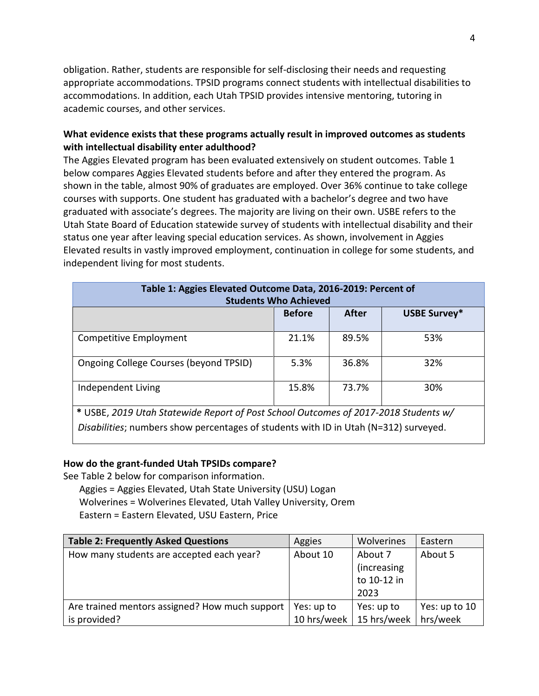obligation. Rather, students are responsible for self-disclosing their needs and requesting appropriate accommodations. TPSID programs connect students with intellectual disabilities to accommodations. In addition, each Utah TPSID provides intensive mentoring, tutoring in academic courses, and other services.

## **What evidence exists that these programs actually result in improved outcomes as students with intellectual disability enter adulthood?**

The Aggies Elevated program has been evaluated extensively on student outcomes. Table 1 below compares Aggies Elevated students before and after they entered the program. As shown in the table, almost 90% of graduates are employed. Over 36% continue to take college courses with supports. One student has graduated with a bachelor's degree and two have graduated with associate's degrees. The majority are living on their own. USBE refers to the Utah State Board of Education statewide survey of students with intellectual disability and their status one year after leaving special education services. As shown, involvement in Aggies Elevated results in vastly improved employment, continuation in college for some students, and independent living for most students.

| Table 1: Aggies Elevated Outcome Data, 2016-2019: Percent of<br><b>Students Who Achieved</b> |               |              |              |  |  |
|----------------------------------------------------------------------------------------------|---------------|--------------|--------------|--|--|
|                                                                                              | <b>Before</b> | <b>After</b> | USBE Survey* |  |  |
| Competitive Employment                                                                       | 21.1%         | 89.5%        | 53%          |  |  |
| Ongoing College Courses (beyond TPSID)                                                       | 5.3%          | 36.8%        | 32%          |  |  |
| Independent Living                                                                           | 15.8%         | 73.7%        | 30%          |  |  |
| * USBE, 2019 Utah Statewide Report of Post School Outcomes of 2017-2018 Students w/          |               |              |              |  |  |
| Disabilities; numbers show percentages of students with ID in Utah (N=312) surveyed.         |               |              |              |  |  |

## **How do the grant-funded Utah TPSIDs compare?**

See Table 2 below for comparison information.

Aggies = Aggies Elevated, Utah State University (USU) Logan Wolverines = Wolverines Elevated, Utah Valley University, Orem Eastern = Eastern Elevated, USU Eastern, Price

| <b>Table 2: Frequently Asked Questions</b>     | Aggies      | <b>Wolverines</b> | Eastern       |
|------------------------------------------------|-------------|-------------------|---------------|
| How many students are accepted each year?      | About 10    | About 7           | About 5       |
|                                                |             | (increasing       |               |
|                                                |             | to 10-12 in       |               |
|                                                |             | 2023              |               |
| Are trained mentors assigned? How much support | Yes: up to  | Yes: up to        | Yes: up to 10 |
| is provided?                                   | 10 hrs/week | 15 hrs/week       | hrs/week      |